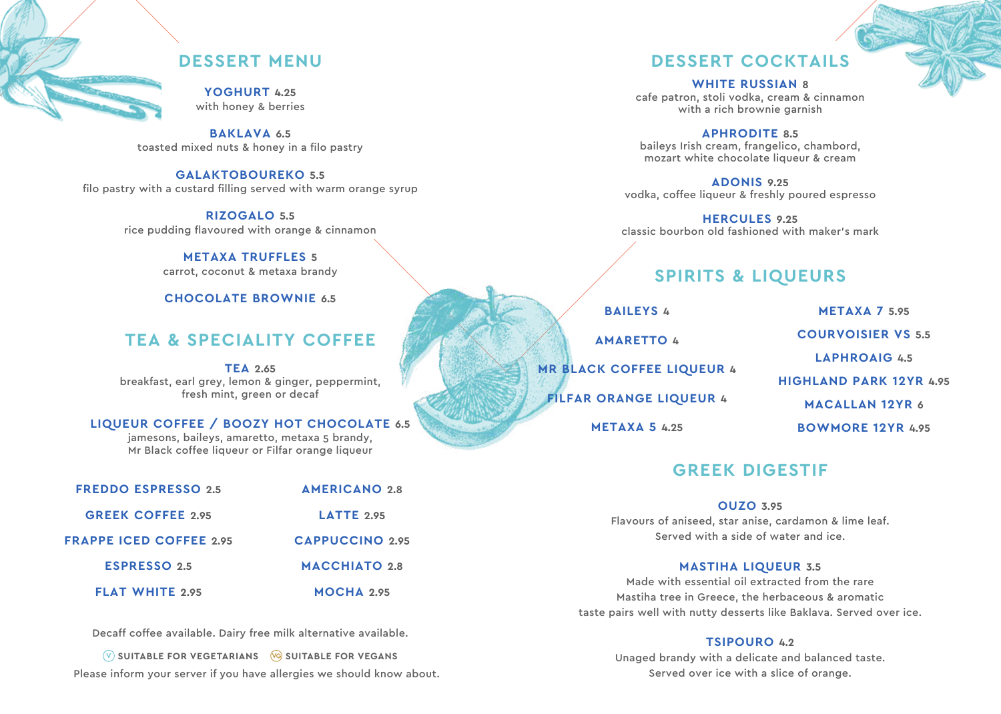**YOGHURT 4.25** with honey & berries

**BAKLAVA 6.5** toasted mixed nuts & honey in a filo pastry

### **GALAKTOBOUREKO 5.5**

filo pastry with a custard filling served with warm orange syrup

**RIZOGALO 5.5** rice pudding flavoured with orange & cinnamon

#### **METAXA TRUFFLES 5** carrot, coconut & metaxa brandy

**CHOCOLATE BROWNIE 6.5**

# **TEA & SPECIALITY COFFEE**

**TEA 2.65** breakfast, earl grey, lemon & ginger, peppermint, fresh mint, green or decaf

### **LIQUEUR COFFEE / BOOZY HOT CHOCOLATE 6.5**

jamesons, baileys, amaretto, metaxa 5 brandy, Mr Black coffee liqueur or Filfar orange liqueur

| <b>FREDDO ESPRESSO 2.5</b>     | <b>AMERICANO 2.8</b>   |
|--------------------------------|------------------------|
| <b>GREEK COFFEE 2.95</b>       | $LATTE$ 2.95           |
| <b>FRAPPE ICED COFFEE 2.95</b> | <b>CAPPUCCINO 2.95</b> |
| <b>ESPRESSO 2.5</b>            | <b>MACCHIATO 2.8</b>   |
| <b>FLAT WHITE 2.95</b>         | MOCHA 2.95             |

Decaff coffee available. Dairy free milk alternative available.

**W** SUITABLE FOR VEGETARIANS **CO** SUITABLE FOR VEGANS Please inform your server if you have allergies we should know about.

### **DESSERT MENU DESSERT COCKTAILS**

**WHITE RUSSIAN 8** cafe patron, stoli vodka, cream & cinnamon with a rich brownie garnish

**APHRODITE 8.5** baileys Irish cream, frangelico, chambord, mozart white chocolate liqueur & cream

**ADONIS 9.25** vodka, coffee liqueur & freshly poured espresso

**HERCULES 9.25** classic bourbon old fashioned with maker's mark

# **SPIRITS & LIQUEURS**

**BAILEYS 4**

**MR BLACK COFFEE LIQUEUR 4**

**FILFAR ORANGE LIQUEUR 4**

**METAXA 5 4.25**

**AMARETTO 4**

**METAXA 7 5.95 COURVOISIER VS 5.5 LAPHROAIG 4.5 HIGHLAND PARK 12YR 4.95 MACALLAN 12YR 6 BOWMORE 12YR 4.95**

## **GREEK DIGESTIF**

### **OUZO 3.95**

Flavours of aniseed, star anise, cardamon & lime leaf. Served with a side of water and ice.

### **MASTIHA LIQUEUR 3.5**

Made with essential oil extracted from the rare Mastiha tree in Greece, the herbaceous & aromatic taste pairs well with nutty desserts like Baklava. Served over ice.

### **TSIPOURO 4.2**

Unaged brandy with a delicate and balanced taste. Served over ice with a slice of orange.